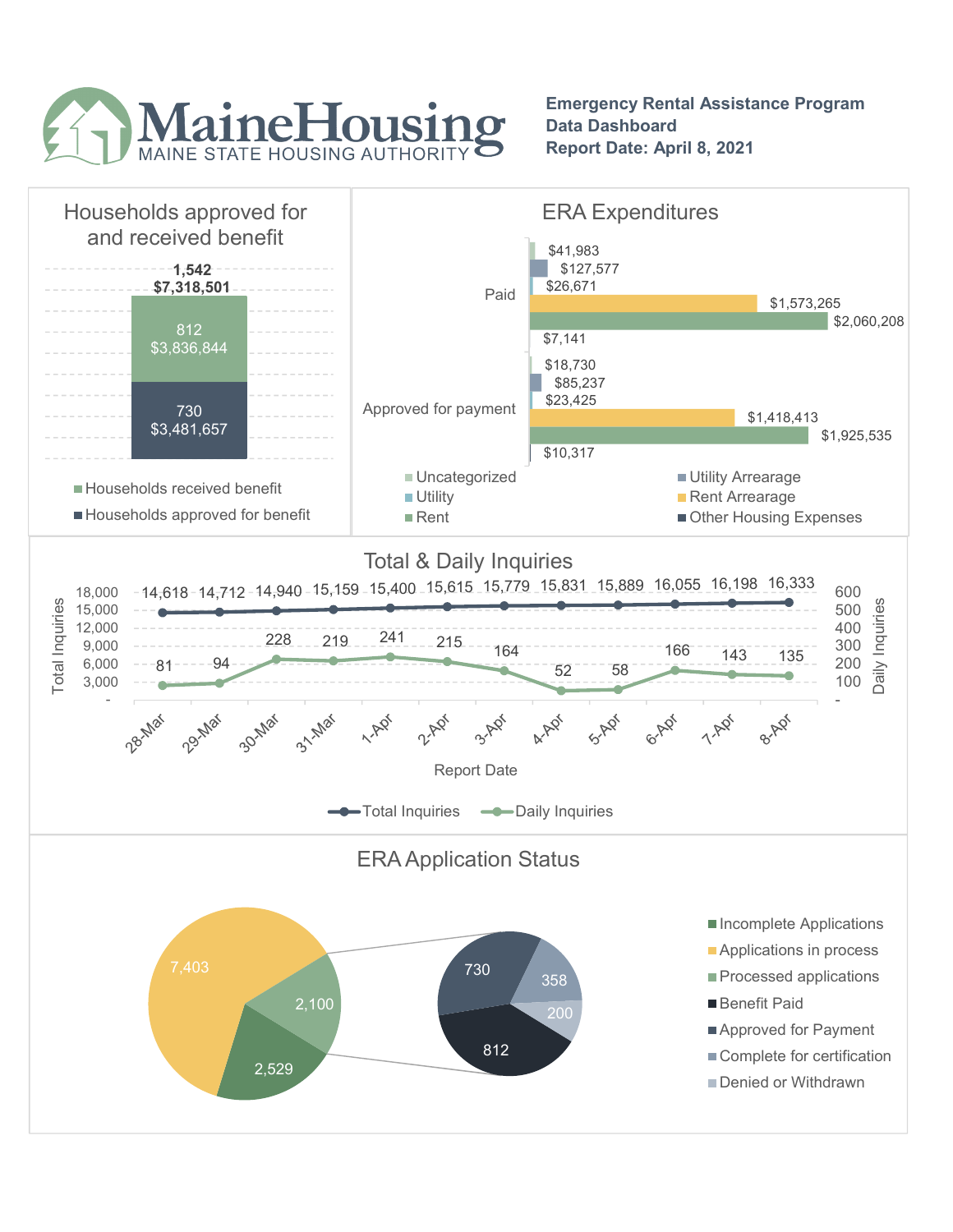

Emergency Rental Assistance Program Data Dashboard Report Date: April 8, 2021